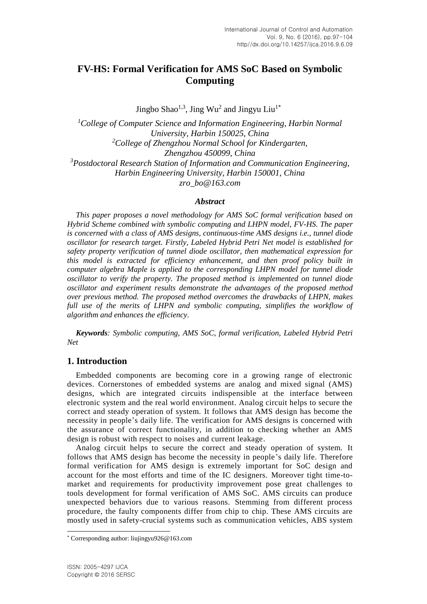# **FV-HS: Formal Verification for AMS SoC Based on Symbolic Computing**

Jingbo Shao<sup>1,3</sup>, Jing Wu<sup>2</sup> and Jingyu Liu<sup>1\*</sup>

*<sup>1</sup>College of Computer Science and Information Engineering, Harbin Normal University, Harbin 150025, China <sup>2</sup>College of Zhengzhou Normal School for Kindergarten, Zhengzhou 450099, China <sup>3</sup>Postdoctoral Research Station of Information and Communication Engineering, Harbin Engineering University, Harbin 150001, China zro\_bo@163.com*

#### *Abstract*

*This paper proposes a novel methodology for AMS SoC formal verification based on Hybrid Scheme combined with symbolic computing and LHPN model, FV-HS. The paper is concerned with a class of AMS designs, continuous-time AMS designs i.e., tunnel diode oscillator for research target. Firstly, Labeled Hybrid Petri Net model is established for safety property verification of tunnel diode oscillator, then mathematical expression for this model is extracted for efficiency enhancement, and then proof policy built in computer algebra Maple is applied to the corresponding LHPN model for tunnel diode oscillator to verify the property. The proposed method is implemented on tunnel diode oscillator and experiment results demonstrate the advantages of the proposed method over previous method. The proposed method overcomes the drawbacks of LHPN, makes full use of the merits of LHPN and symbolic computing, simplifies the workflow of algorithm and enhances the efficiency.*

*Keywords: Symbolic computing, AMS SoC, formal verification, Labeled Hybrid Petri Net*

# **1. Introduction**

Embedded components are becoming core in a growing range of electronic devices. Cornerstones of embedded systems are analog and mixed signal (AMS) designs, which are integrated circuits indispensible at the interface between electronic system and the real world environment. Analog circuit helps to secure the correct and steady operation of system. It follows that AMS design has become the necessity in people's daily life. The verification for AMS designs is concerned with the assurance of correct functionality, in addition to checking whether an AMS design is robust with respect to noises and current leakage.

Analog circuit helps to secure the correct and steady operation of system. It follows that AMS design has become the necessity in people's daily life. Therefore formal verification for AMS design is extremely important for SoC design and account for the most efforts and time of the IC designers. Moreover tight time-tomarket and requirements for productivity improvement pose great challenges to tools development for formal verification of AMS SoC. AMS circuits can produce unexpected behaviors due to various reasons. Stemming from different process procedure, the faulty components differ from chip to chip. These AMS circuits are mostly used in safety-crucial systems such as communication vehicles, ABS system

l

<sup>\*</sup> Corresponding author: liujingyu926@163.com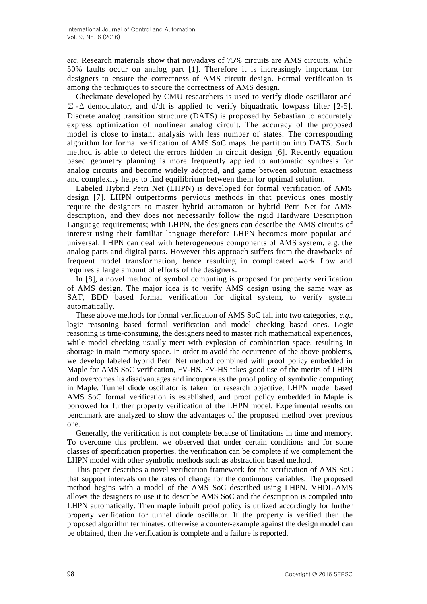*etc*. Research materials show that nowadays of 75% circuits are AMS circuits, while 50% faults occur on analog part [1]. Therefore it is increasingly important for designers to ensure the correctness of AMS circuit design. Formal verification is among the techniques to secure the correctness of AMS design.

Checkmate developed by CMU researchers is used to verify diode oscillator and  $\Sigma$  - $\Delta$  demodulator, and d/dt is applied to verify biquadratic lowpass filter [2-5]. Discrete analog transition structure (DATS) is proposed by Sebastian to accurately express optimization of nonlinear analog circuit. The accuracy of the proposed model is close to instant analysis with less number of states. The corresponding algorithm for formal verification of AMS SoC maps the partition into DATS. Such method is able to detect the errors hidden in circuit design [6]. Recently equation based geometry planning is more frequently applied to automatic synthesis for analog circuits and become widely adopted, and game between solution exactness and complexity helps to find equilibrium between them for optimal solution.

Labeled Hybrid Petri Net (LHPN) is developed for formal verification of AMS design [7]. LHPN outperforms pervious methods in that previous ones mostly require the designers to master hybrid automaton or hybrid Petri Net for AMS description, and they does not necessarily follow the rigid Hardware Description Language requirements; with LHPN, the designers can describe the AMS circuits of interest using their familiar language therefore LHPN becomes more popular and universal. LHPN can deal with heterogeneous components of AMS system, e.g. the analog parts and digital parts. However this approach suffers from the drawbacks of frequent model transformation, hence resulting in complicated work flow and requires a large amount of efforts of the designers.

In [8], a novel method of symbol computing is proposed for property verification of AMS design. The major idea is to verify AMS design using the same way as SAT, BDD based formal verification for digital system, to verify system automatically.

These above methods for formal verification of AMS SoC fall into two categories, *e.g.*, logic reasoning based formal verification and model checking based ones. Logic reasoning is time-consuming, the designers need to master rich mathematical experiences, while model checking usually meet with explosion of combination space, resulting in shortage in main memory space. In order to avoid the occurrence of the above problems, we develop labeled hybrid Petri Net method combined with proof policy embedded in Maple for AMS SoC verification, FV-HS. FV-HS takes good use of the merits of LHPN and overcomes its disadvantages and incorporates the proof policy of symbolic computing in Maple. Tunnel diode oscillator is taken for research objective, LHPN model based AMS SoC formal verification is established, and proof policy embedded in Maple is borrowed for further property verification of the LHPN model. Experimental results on benchmark are analyzed to show the advantages of the proposed method over previous one.

Generally, the verification is not complete because of limitations in time and memory. To overcome this problem, we observed that under certain conditions and for some classes of specification properties, the verification can be complete if we complement the LHPN model with other symbolic methods such as abstraction based method.

This paper describes a novel verification framework for the verification of AMS SoC that support intervals on the rates of change for the continuous variables. The proposed method begins with a model of the AMS SoC described using LHPN. VHDL-AMS allows the designers to use it to describe AMS SoC and the description is compiled into LHPN automatically. Then maple inbuilt proof policy is utilized accordingly for further property verification for tunnel diode oscillator. If the property is verified then the proposed algorithm terminates, otherwise a counter-example against the design model can be obtained, then the verification is complete and a failure is reported.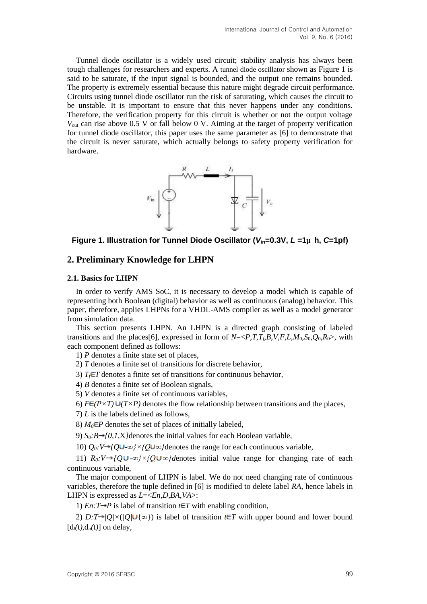Tunnel diode oscillator is a widely used circuit; stability analysis has always been tough challenges for researchers and experts. A tunnel diode oscillator shown as Figure 1 is said to be saturate, if the input signal is bounded, and the output one remains bounded. The property is extremely essential because this nature might degrade circuit performance. Circuits using tunnel diode oscillator run the risk of saturating, which causes the circuit to be unstable. It is important to ensure that this never happens under any conditions. Therefore, the verification property for this circuit is whether or not the output voltage *V*out can rise above 0.5 V or fall below 0 V. Aiming at the target of property verification for tunnel diode oscillator, this paper uses the same parameter as [6] to demonstrate that the circuit is never saturate, which actually belongs to safety property verification for hardware.



**Figure 1. Illustration for Tunnel Diode Oscillator (***V***in=0.3V,** *L* **=1**μ **h,** *C***=1pf)**

#### **2. Preliminary Knowledge for LHPN**

#### **2.1. Basics for LHPN**

In order to verify AMS SoC, it is necessary to develop a model which is capable of representing both Boolean (digital) behavior as well as continuous (analog) behavior. This paper, therefore, applies LHPNs for a VHDL-AMS compiler as well as a model generator from simulation data.

This section presents LHPN. An LHPN is a directed graph consisting of labeled transitions and the places[6], expressed in form of  $N = \langle P, T, T_f, B, V, F, L, M_0, S_0, O_0, R_0 \rangle$ , with each component defined as follows:

1) *P* denotes a finite state set of places,

2) *T* denotes a finite set of transitions for discrete behavior,

3)  $T_f \in T$  denotes a finite set of transitions for continuous behavior,

4) *B* denotes a finite set of Boolean signals,

5) *V* denotes a finite set of continuous variables,

6)  $F \in (P \times T) \cup (T \times P)$  denotes the flow relationship between transitions and the places,

7) *L* is the labels defined as follows,

8)  $M_0 \in P$  denotes the set of places of initially labeled,

9)  $S_0:B\rightarrow{0,1,X}$  denotes the initial values for each Boolean variable,

10)  $Q_0$ *:V→{Q*∪-∞*}*×*{Q*∪∞*}*denotes the range for each continuous variable,

11)  $R_0: V \rightarrow \{Q \cup -\infty\} \times \{Q \cup \infty\}$  *denotes initial value range for changing rate of each* continuous variable,

The major component of LHPN is label. We do not need changing rate of continuous variables, therefore the tuple defined in [6] is modified to delete label *RA*, hence labels in LHPN is expressed as *L*=<*En*,*D*,*BA*,*VA*>:

1) *En:* $T \rightarrow P$  is label of transition  $t \in T$  with enabling condition,

2) *D:T* $\rightarrow$ /*Q*/ $\times$ (*|Q*/ $\cup$ { $\infty$ }) is label of transition  $t \in T$  with upper bound and lower bound  $[d_{l}(t), d_{u}(t)]$  on delay,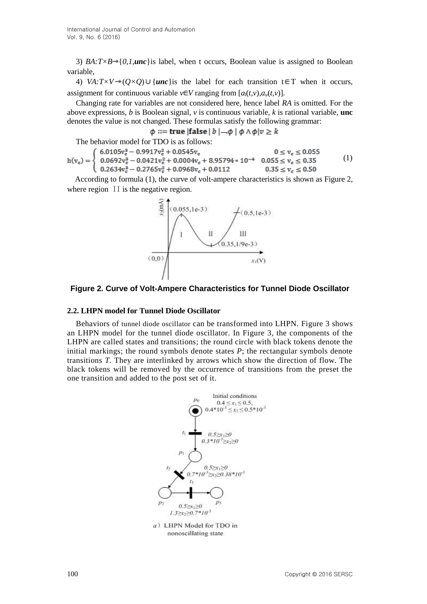3) *BA:T* $\times$ *B* $\rightarrow$ {*0,1,unc*}is label, when t occurs, Boolean value is assigned to Boolean variable,

4) *VA:T*  $\vee$   $\rightarrow$   $(Q \times Q) \cup \{$ **unc** is the label for each transition t  $\in$ T when it occurs, assignment for continuous variable  $v \in V$  ranging from  $[a_1(t,v), a_u(t,v)]$ .

Changing rate for variables are not considered here, hence label *RA* is omitted. For the above expressions, *b* is Boolean signal, *v* is continuous variable, *k* is rational variable, **unc** denotes the value is not changed. These formulas satisfy the following grammar:

 $\phi ::=$  true |false | b |  $-\phi$  |  $\phi \wedge \phi | v \geq k$ 

The behavior model for TDO is as follows:

 $(6.0105v_c^3 - 0.9917v_c^2 + 0.0545v_c)$  $0\leq\rm v_c\leq0.055$  $\begin{cases}\n0.0692v_e^2 - 0.0421v_e^2 + 0.0004v_e + 8.95794 * 10^{-4} & 0.055 \le v_e \le 0.35 \\
0.2634v_e^3 - 0.2765v_e^2 + 0.0968v_e + 0.0112 & 0.35 \le v_e \le 0.50\n\end{cases}$  $h(v_c) =$ (1)

According to formula (1), the curve of volt-ampere characteristics is shown as Figure 2, where region II is the negative region.



#### **Figure 2. Curve of Volt-Ampere Characteristics for Tunnel Diode Oscillator**

#### **2.2. LHPN model for Tunnel Diode Oscillator**

Behaviors of tunnel diode oscillator can be transformed into LHPN. Figure 3 shows an LHPN model for the tunnel diode oscillator. In Figure 3, the components of the LHPN are called states and transitions; the round circle with black tokens denote the initial markings; the round symbols denote states *P*; the rectangular symbols denote transitions *T*. They are interlinked by arrows which show the direction of flow. The black tokens will be removed by the occurrence of transitions from the preset the one transition and added to the post set of it.



nonoscillating state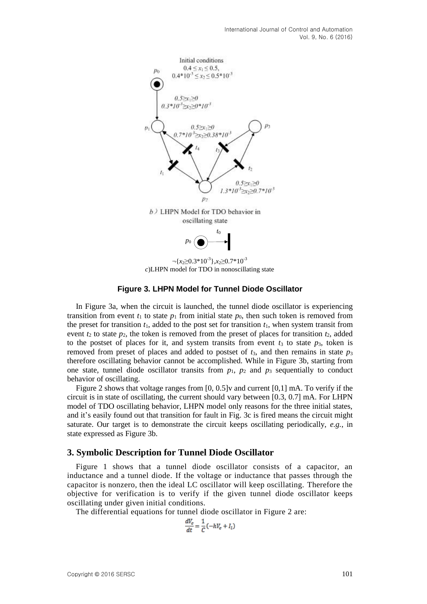

¬{*<sup>x</sup>*2≥0.3\*10-3 },*<sup>x</sup>*2≥0.7\*10-3  $c$ )LHPN model for TDO in nonoscillating state

#### **Figure 3. LHPN Model for Tunnel Diode Oscillator**

In Figure 3a, when the circuit is launched, the tunnel diode oscillator is experiencing transition from event  $t_1$  to state  $p_1$  from initial state  $p_0$ , then such token is removed from the preset for transition  $t_1$ , added to the post set for transition  $t_1$ , when system transit from event  $t_2$  to state  $p_2$ , the token is removed from the preset of places for transition  $t_2$ , added to the postset of places for it, and system transits from event  $t_3$  to state  $p_3$ , token is removed from preset of places and added to postset of  $t_3$ , and then remains in state  $p_3$ therefore oscillating behavior cannot be accomplished. While in Figure 3b, starting from one state, tunnel diode oscillator transits from  $p_1$ ,  $p_2$  and  $p_3$  sequentially to conduct behavior of oscillating.

Figure 2 shows that voltage ranges from  $[0, 0.5]$  v and current  $[0,1]$  mA. To verify if the circuit is in state of oscillating, the current should vary between [0.3, 0.7] mA. For LHPN model of TDO oscillating behavior, LHPN model only reasons for the three initial states, and it's easily found out that transition for fault in Fig. 3c is fired means the circuit might saturate. Our target is to demonstrate the circuit keeps oscillating periodically, *e.g.*, in state expressed as Figure 3b.

#### **3. Symbolic Description for Tunnel Diode Oscillator**

Figure 1 shows that a tunnel diode oscillator consists of a capacitor, an inductance and a tunnel diode. If the voltage or inductance that passes through the capacitor is nonzero, then the ideal LC oscillator will keep oscillating. Therefore the objective for verification is to verify if the given tunnel diode oscillator keeps oscillating under given initial conditions.

The differential equations for tunnel diode oscillator in Figure 2 are:

$$
\frac{dV_c}{dt} = \frac{1}{C}(-hV_c + I_l)
$$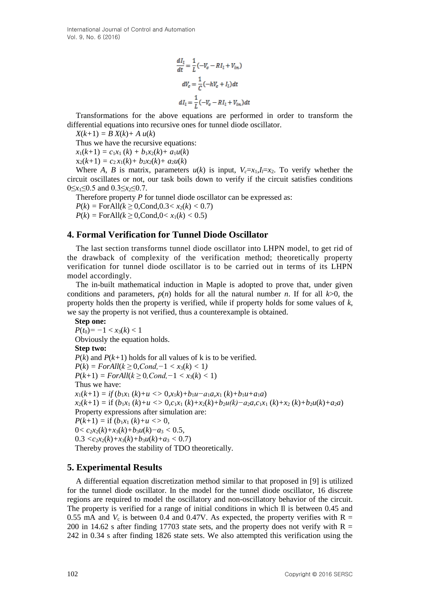International Journal of Control and Automation Vol. 9, No. 6 (2016)

$$
\frac{dI_l}{dt} = \frac{1}{L} \left( -V_c - RI_l + V_{in} \right)
$$

$$
dV_c = \frac{1}{C} \left( -hV_c + I_l \right) dt
$$

$$
dI_l = \frac{1}{I} \left( -V_c - RI_l + V_{in} \right) dt
$$

Transformations for the above equations are performed in order to transform the differential equations into recursive ones for tunnel diode oscillator.

 $X(k+1) = B X(k) + A u(k)$ 

Thus we have the recursive equations:

 $x_1(k+1) = c_1x_1(k) + b_1x_2(k) + a_1u(k)$ 

 $x_2(k+1) = c_2 x_1(k) + b_2 x_2(k) + a_2 u(k)$ 

Where *A*, *B* is matrix, parameters  $u(k)$  is input,  $V_c = x_1, I_l = x_2$ . To verify whether the circuit oscillates or not, our task boils down to verify if the circuit satisfies conditions 0≤*x*1≤0.5 and 0.3≤*x2*≤0.7.

Therefore property *P* for tunnel diode oscillator can be expressed as:  $P(k) = \text{ForAll}(k \geq 0, \text{Cond}, 0.3 < x_2(k) < 0.7)$  $P(k) = \text{ForAll}(k \geq 0, \text{Cond}, 0 < x_1(k) < 0.5)$ 

### **4. Formal Verification for Tunnel Diode Oscillator**

The last section transforms tunnel diode oscillator into LHPN model, to get rid of the drawback of complexity of the verification method; theoretically property verification for tunnel diode oscillator is to be carried out in terms of its LHPN model accordingly.

The in-built mathematical induction in Maple is adopted to prove that, under given conditions and parameters,  $p(n)$  holds for all the natural number *n*. If for all  $k>0$ , the property holds then the property is verified, while if property holds for some values of *k*, we say the property is not verified, thus a counterexample is obtained.

**Step one:**  $P(t_0) = -1 < x_3(k) < 1$ Obviously the equation holds. **Step two:**  $P(k)$  and  $P(k+1)$  holds for all values of k is to be verified.  $P(k) = ForAll(k \geq 0, Cond, -1 < x_3(k) < 1)$  $P(k+1) = ForAll(k \geq 0, Cond, -1 < x_3(k) < 1)$ Thus we have:  $x_1(k+1) = if (b_1x_1(k)+u \leq b_1x_1k) + b_1u-a_1a_1x_1(k)+b_1u+a_1a)$  $x_2(k+1) =$  if  $(b_1x_1(k)+u < b_1c_1x_1(k)+x_2(k)+b_2u(k)-a_2a_1c_1x_1(k)+x_2(k)+b_2u(k)+a_2a)$ Property expressions after simulation are:  $P(k+1) =$  if  $(b_1x_1(k)+u \leq 0$ , 0*< c*2*x*2(*k*)*+x*3(*k*)*+b*3*u*(*k*)*−a*<sup>3</sup> *<* 0.5*,*  $0.3 < c_2x_2(k)+x_3(k)+b_3u(k)+a_3 < 0.7$ Thereby proves the stability of TDO theoretically.

# **5. Experimental Results**

A differential equation discretization method similar to that proposed in [9] is utilized for the tunnel diode oscillator. In the model for the tunnel diode oscillator, 16 discrete regions are required to model the oscillatory and non-oscillatory behavior of the circuit. The property is verified for a range of initial conditions in which Il is between 0.45 and 0.55 mA and  $V_c$  is between 0.4 and 0.47V. As expected, the property verifies with R = 200 in 14.62 s after finding 17703 state sets, and the property does not verify with  $R =$ 242 in 0.34 s after finding 1826 state sets. We also attempted this verification using the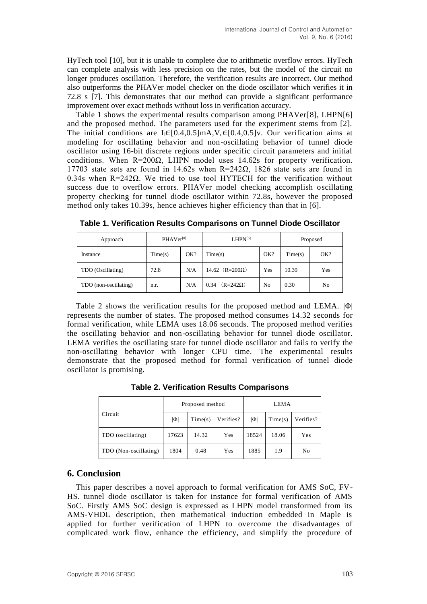HyTech tool [10], but it is unable to complete due to arithmetic overflow errors. HyTech can complete analysis with less precision on the rates, but the model of the circuit no longer produces oscillation. Therefore, the verification results are incorrect. Our method also outperforms the PHAVer model checker on the diode oscillator which verifies it in 72.8 s [7]. This demonstrates that our method can provide a significant performance improvement over exact methods without loss in verification accuracy.

Table 1 shows the experimental results comparison among PHAVer[8], LHPN[6] and the proposed method. The parameters used for the experiment stems from [2]. The initial conditions are  $I_1 \in [0.4, 0.5]$ mA, $V_c \in [0.4, 0.5]$ v. Our verification aims at modeling for oscillating behavior and non-oscillating behavior of tunnel diode oscillator using 16-bit discrete regions under specific circuit parameters and initial conditions. When  $R=200\Omega$ , LHPN model uses 14.62s for property verification. 17703 state sets are found in 14.62s when R=242Ω, 1826 state sets are found in 0.34s when R=242Ω. We tried to use tool HYTECH for the verification without success due to overflow errors. PHAVer model checking accomplish oscillating property checking for tunnel diode oscillator within 72.8s, however the proposed method only takes 10.39s, hence achieves higher efficiency than that in [6].

| Approach              | PHAVer <sup>[8]</sup> |     | $LHPN^{[6]}$            |     | Proposed |     |
|-----------------------|-----------------------|-----|-------------------------|-----|----------|-----|
| Instance              | Time(s)               | OK? | Time(s)                 | OK? | Time(s)  | OK? |
| TDO (Oscillating)     | 72.8                  | N/A | 14.62 $(R=200\Omega)$   | Yes | 10.39    | Yes |
| TDO (non-oscillating) | n.r.                  | N/A | $(R=242\Omega)$<br>0.34 | No  | 0.30     | No  |

**Table 1. Verification Results Comparisons on Tunnel Diode Oscillator**

Table 2 shows the verification results for the proposed method and LEMA. |Φ| represents the number of states. The proposed method consumes 14.32 seconds for formal verification, while LEMA uses 18.06 seconds. The proposed method verifies the oscillating behavior and non-oscillating behavior for tunnel diode oscillator. LEMA verifies the oscillating state for tunnel diode oscillator and fails to verify the non-oscillating behavior with longer CPU time. The experimental results demonstrate that the proposed method for formal verification of tunnel diode oscillator is promising.

**Table 2. Verification Results Comparisons**

| Circuit               |          | Proposed method |           | <b>LEMA</b> |         |                |  |
|-----------------------|----------|-----------------|-----------|-------------|---------|----------------|--|
|                       | $ \Phi $ | Time(s)         | Verifies? | $ \Phi $    | Time(s) | Verifies?      |  |
| TDO (oscillating)     | 17623    | 14.32           | Yes       | 18524       | 18.06   | Yes            |  |
| TDO (Non-oscillating) | 1804     | 0.48            | Yes       | 1885        | 1.9     | N <sub>0</sub> |  |

# **6. Conclusion**

This paper describes a novel approach to formal verification for AMS SoC, FV-HS. tunnel diode oscillator is taken for instance for formal verification of AMS SoC. Firstly AMS SoC design is expressed as LHPN model transformed from its AMS-VHDL description, then mathematical induction embedded in Maple is applied for further verification of LHPN to overcome the disadvantages of complicated work flow, enhance the efficiency, and simplify the procedure of